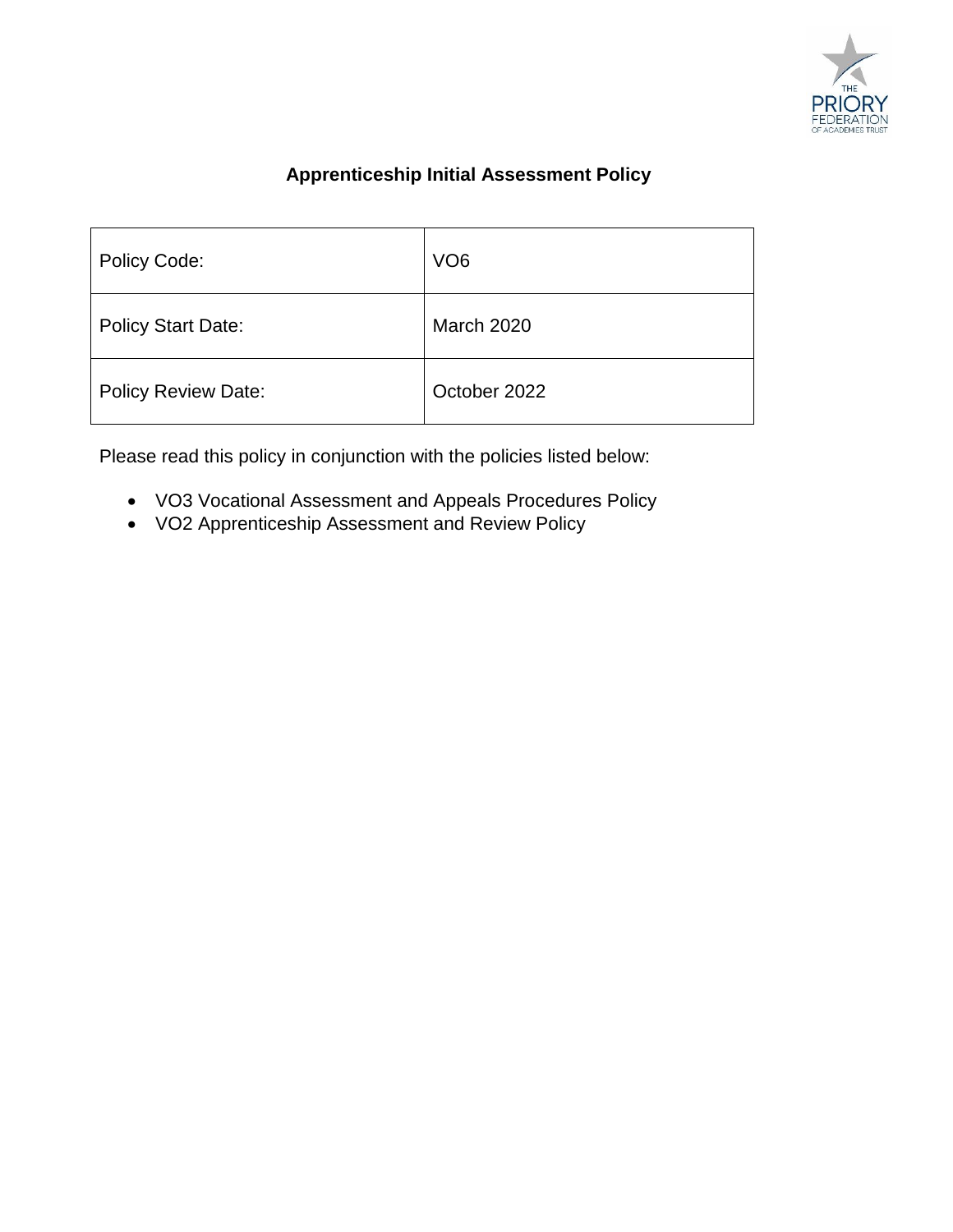

# **Apprenticeship Initial Assessment Policy**

| <b>Policy Code:</b>        | VO <sub>6</sub>   |
|----------------------------|-------------------|
| <b>Policy Start Date:</b>  | <b>March 2020</b> |
| <b>Policy Review Date:</b> | October 2022      |

Please read this policy in conjunction with the policies listed below:

- VO3 Vocational Assessment and Appeals Procedures Policy
- VO2 Apprenticeship Assessment and Review Policy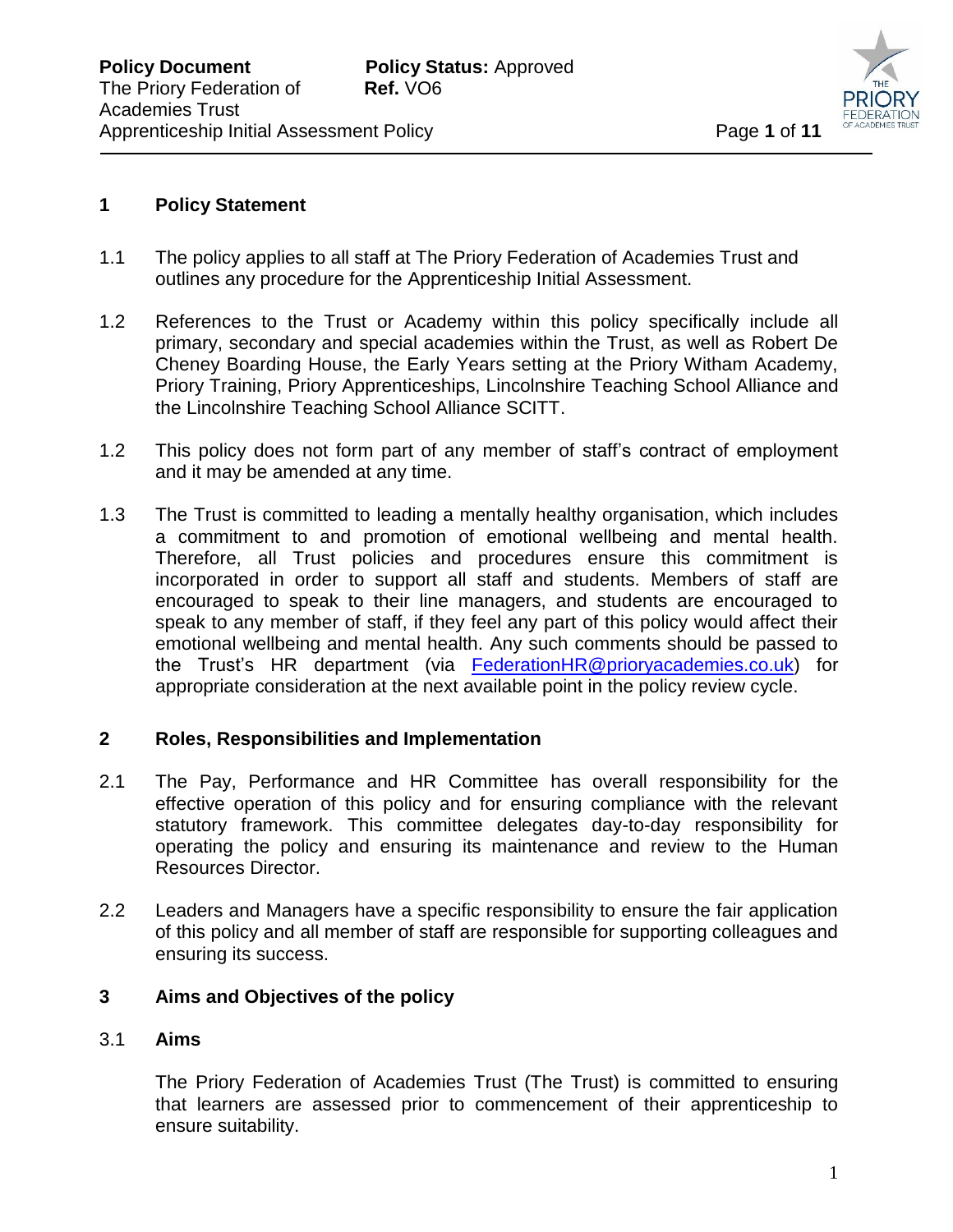

## **1 Policy Statement**

- 1.1 The policy applies to all staff at The Priory Federation of Academies Trust and outlines any procedure for the Apprenticeship Initial Assessment.
- 1.2 References to the Trust or Academy within this policy specifically include all primary, secondary and special academies within the Trust, as well as Robert De Cheney Boarding House, the Early Years setting at the Priory Witham Academy, Priory Training, Priory Apprenticeships, Lincolnshire Teaching School Alliance and the Lincolnshire Teaching School Alliance SCITT.

 $\overline{a}$ 

- 1.2 This policy does not form part of any member of staff's contract of employment and it may be amended at any time.
- 1.3 The Trust is committed to leading a mentally healthy organisation, which includes a commitment to and promotion of emotional wellbeing and mental health. Therefore, all Trust policies and procedures ensure this commitment is incorporated in order to support all staff and students. Members of staff are encouraged to speak to their line managers, and students are encouraged to speak to any member of staff, if they feel any part of this policy would affect their emotional wellbeing and mental health. Any such comments should be passed to the Trust's HR department (via [FederationHR@prioryacademies.co.uk\)](mailto:FederationHR@prioryacademies.co.uk) for appropriate consideration at the next available point in the policy review cycle.

# **2 Roles, Responsibilities and Implementation**

- 2.1 The Pay, Performance and HR Committee has overall responsibility for the effective operation of this policy and for ensuring compliance with the relevant statutory framework. This committee delegates day-to-day responsibility for operating the policy and ensuring its maintenance and review to the Human Resources Director.
- 2.2 Leaders and Managers have a specific responsibility to ensure the fair application of this policy and all member of staff are responsible for supporting colleagues and ensuring its success.

# **3 Aims and Objectives of the policy**

## 3.1 **Aims**

The Priory Federation of Academies Trust (The Trust) is committed to ensuring that learners are assessed prior to commencement of their apprenticeship to ensure suitability.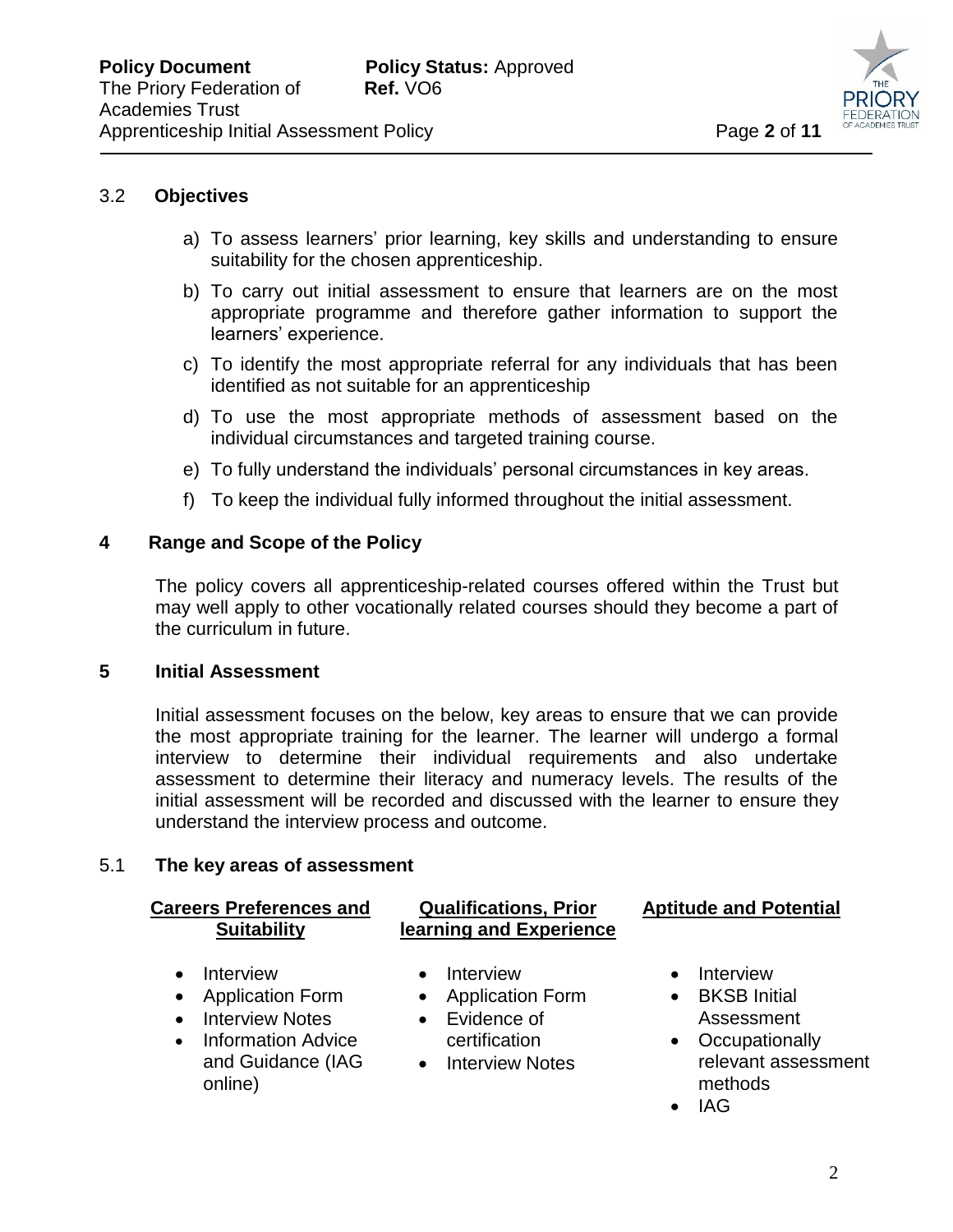

## 3.2 **Objectives**

a) To assess learners' prior learning, key skills and understanding to ensure suitability for the chosen apprenticeship.

 $\overline{a}$ 

- b) To carry out initial assessment to ensure that learners are on the most appropriate programme and therefore gather information to support the learners' experience.
- c) To identify the most appropriate referral for any individuals that has been identified as not suitable for an apprenticeship
- d) To use the most appropriate methods of assessment based on the individual circumstances and targeted training course.
- e) To fully understand the individuals' personal circumstances in key areas.
- f) To keep the individual fully informed throughout the initial assessment.

## **4 Range and Scope of the Policy**

The policy covers all apprenticeship-related courses offered within the Trust but may well apply to other vocationally related courses should they become a part of the curriculum in future.

## **5 Initial Assessment**

Initial assessment focuses on the below, key areas to ensure that we can provide the most appropriate training for the learner. The learner will undergo a formal interview to determine their individual requirements and also undertake assessment to determine their literacy and numeracy levels. The results of the initial assessment will be recorded and discussed with the learner to ensure they understand the interview process and outcome.

## 5.1 **The key areas of assessment**

## **Careers Preferences and Suitability**

- Interview
- Application Form
- Interview Notes
- Information Advice and Guidance (IAG online)
- **Qualifications, Prior learning and Experience**
	- Interview
	- Application Form
	- Evidence of certification
	- Interview Notes

# **Aptitude and Potential**

- Interview
- BKSB Initial Assessment
- Occupationally relevant assessment methods
- $\bullet$  IAG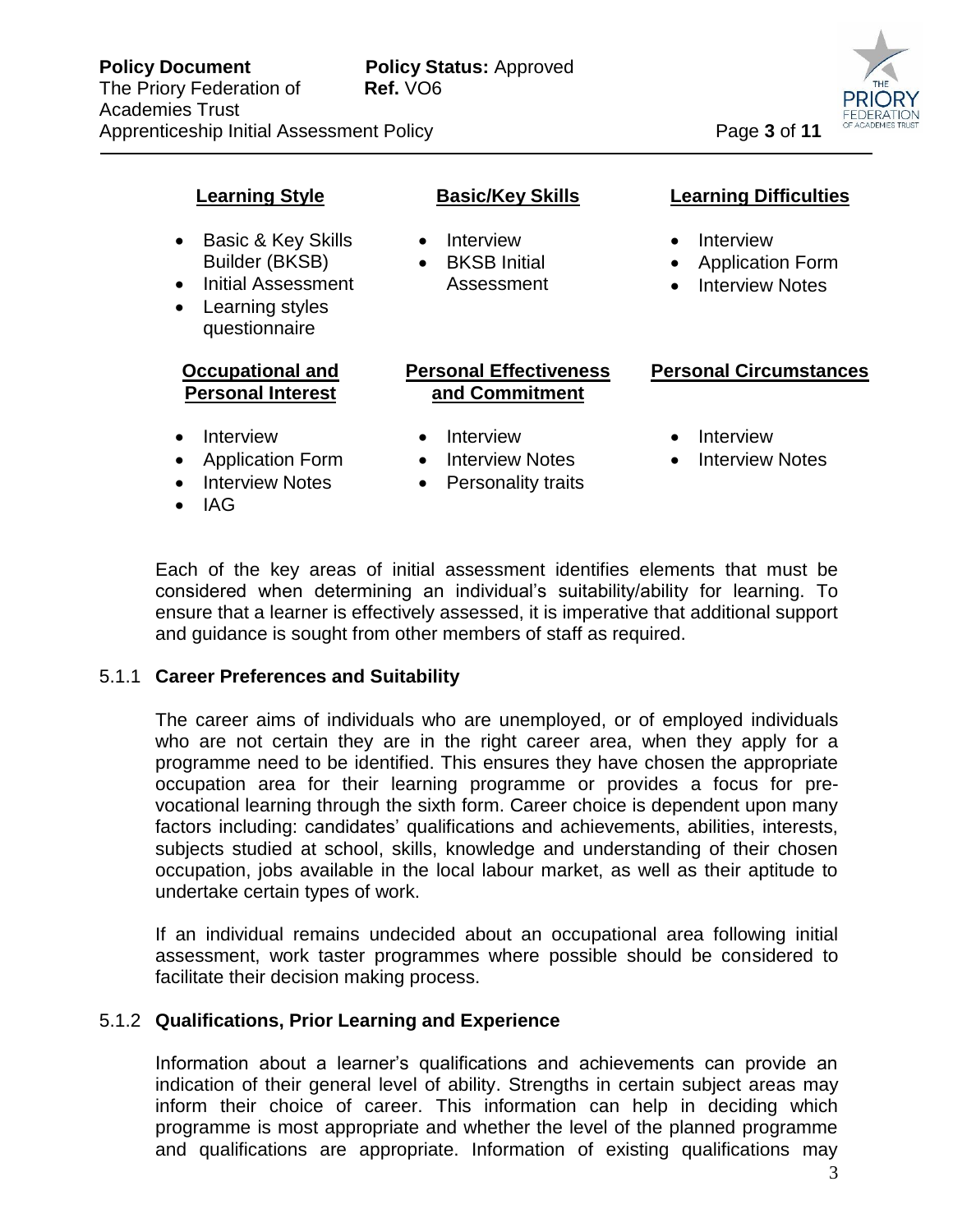

# **Learning Style**

- Basic & Key Skills Builder (BKSB)
- Initial Assessment
- Learning styles questionnaire

#### **Occupational and Personal Interest**

- Interview
- Application Form
- Interview Notes
- IAG

# **Basic/Key Skills**

 $\overline{a}$ 

- Interview
- BKSB Initial Assessment

# **Personal Effectiveness and Commitment**

- Interview
- Interview Notes
- Personality traits

# **Learning Difficulties**

- Interview
- Application Form
- Interview Notes

# **Personal Circumstances**

- Interview
- Interview Notes

Each of the key areas of initial assessment identifies elements that must be considered when determining an individual's suitability/ability for learning. To ensure that a learner is effectively assessed, it is imperative that additional support and guidance is sought from other members of staff as required.

# 5.1.1 **Career Preferences and Suitability**

The career aims of individuals who are unemployed, or of employed individuals who are not certain they are in the right career area, when they apply for a programme need to be identified. This ensures they have chosen the appropriate occupation area for their learning programme or provides a focus for prevocational learning through the sixth form. Career choice is dependent upon many factors including: candidates' qualifications and achievements, abilities, interests, subjects studied at school, skills, knowledge and understanding of their chosen occupation, jobs available in the local labour market, as well as their aptitude to undertake certain types of work.

If an individual remains undecided about an occupational area following initial assessment, work taster programmes where possible should be considered to facilitate their decision making process.

# 5.1.2 **Qualifications, Prior Learning and Experience**

Information about a learner's qualifications and achievements can provide an indication of their general level of ability. Strengths in certain subject areas may inform their choice of career. This information can help in deciding which programme is most appropriate and whether the level of the planned programme and qualifications are appropriate. Information of existing qualifications may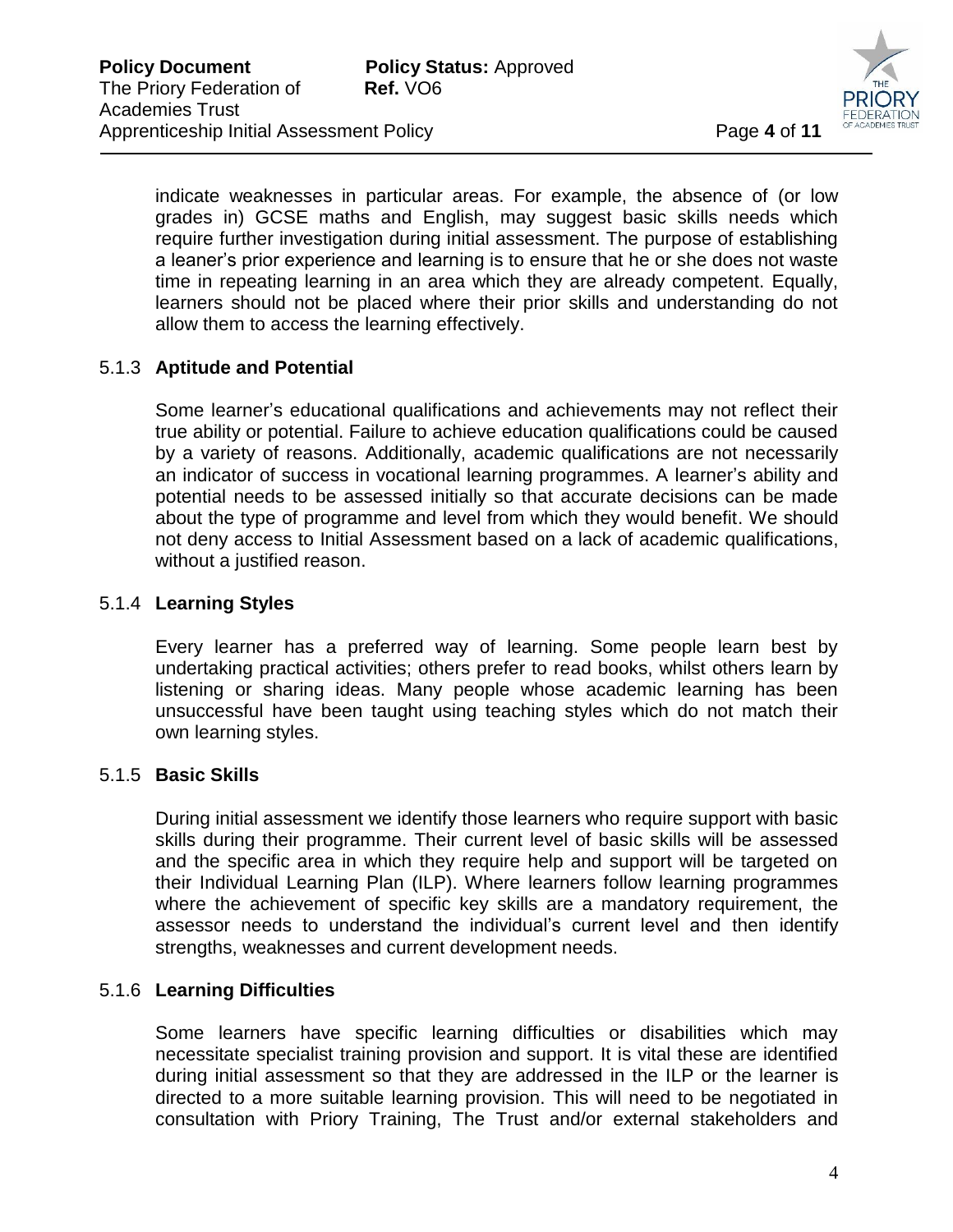

indicate weaknesses in particular areas. For example, the absence of (or low grades in) GCSE maths and English, may suggest basic skills needs which require further investigation during initial assessment. The purpose of establishing a leaner's prior experience and learning is to ensure that he or she does not waste time in repeating learning in an area which they are already competent. Equally, learners should not be placed where their prior skills and understanding do not allow them to access the learning effectively.

 $\overline{a}$ 

# 5.1.3 **Aptitude and Potential**

Some learner's educational qualifications and achievements may not reflect their true ability or potential. Failure to achieve education qualifications could be caused by a variety of reasons. Additionally, academic qualifications are not necessarily an indicator of success in vocational learning programmes. A learner's ability and potential needs to be assessed initially so that accurate decisions can be made about the type of programme and level from which they would benefit. We should not deny access to Initial Assessment based on a lack of academic qualifications, without a justified reason.

# 5.1.4 **Learning Styles**

Every learner has a preferred way of learning. Some people learn best by undertaking practical activities; others prefer to read books, whilst others learn by listening or sharing ideas. Many people whose academic learning has been unsuccessful have been taught using teaching styles which do not match their own learning styles.

# 5.1.5 **Basic Skills**

During initial assessment we identify those learners who require support with basic skills during their programme. Their current level of basic skills will be assessed and the specific area in which they require help and support will be targeted on their Individual Learning Plan (ILP). Where learners follow learning programmes where the achievement of specific key skills are a mandatory requirement, the assessor needs to understand the individual's current level and then identify strengths, weaknesses and current development needs.

# 5.1.6 **Learning Difficulties**

Some learners have specific learning difficulties or disabilities which may necessitate specialist training provision and support. It is vital these are identified during initial assessment so that they are addressed in the ILP or the learner is directed to a more suitable learning provision. This will need to be negotiated in consultation with Priory Training, The Trust and/or external stakeholders and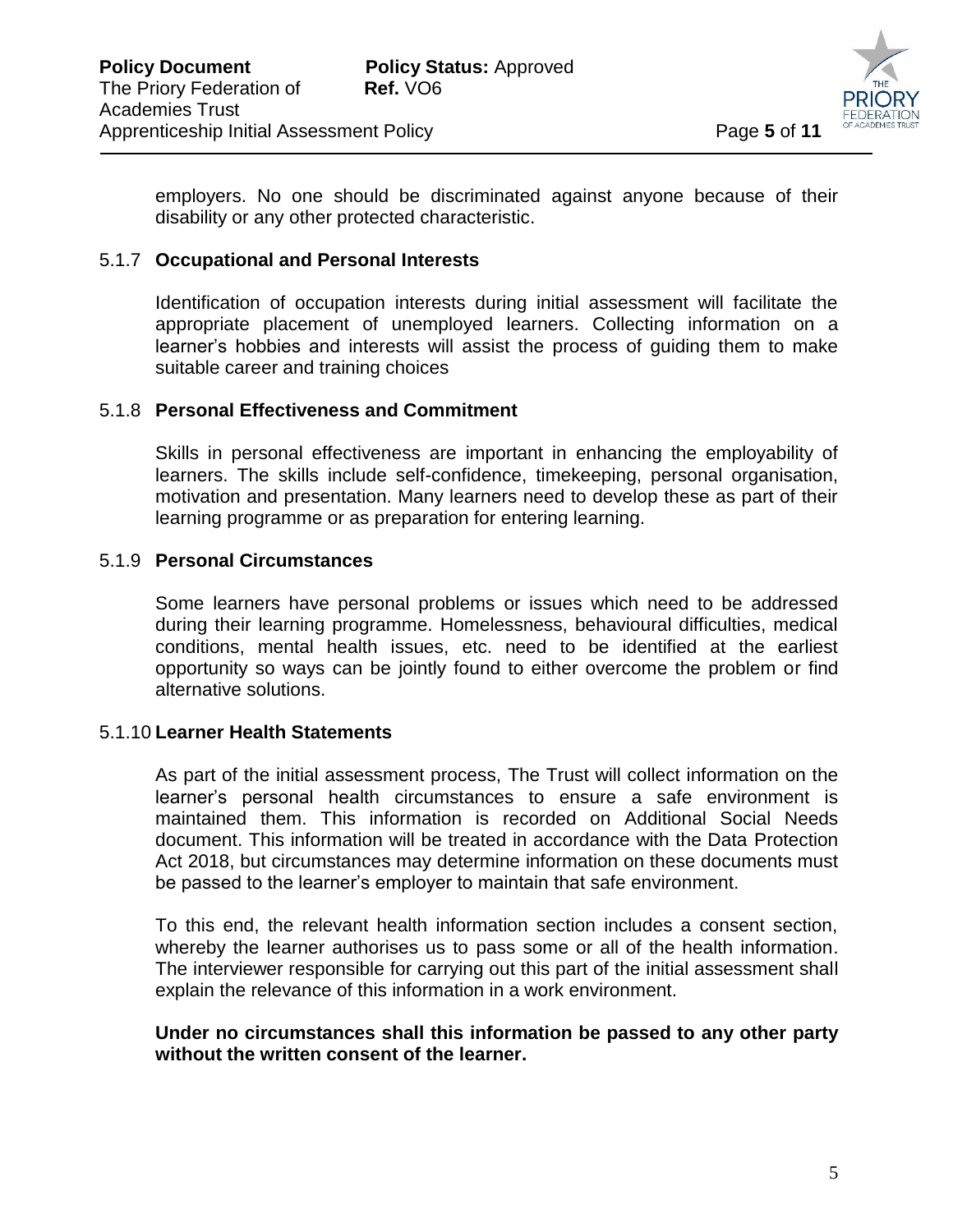

employers. No one should be discriminated against anyone because of their disability or any other protected characteristic.

 $\overline{a}$ 

## 5.1.7 **Occupational and Personal Interests**

Identification of occupation interests during initial assessment will facilitate the appropriate placement of unemployed learners. Collecting information on a learner's hobbies and interests will assist the process of guiding them to make suitable career and training choices

## 5.1.8 **Personal Effectiveness and Commitment**

Skills in personal effectiveness are important in enhancing the employability of learners. The skills include self-confidence, timekeeping, personal organisation, motivation and presentation. Many learners need to develop these as part of their learning programme or as preparation for entering learning.

## 5.1.9 **Personal Circumstances**

Some learners have personal problems or issues which need to be addressed during their learning programme. Homelessness, behavioural difficulties, medical conditions, mental health issues, etc. need to be identified at the earliest opportunity so ways can be jointly found to either overcome the problem or find alternative solutions.

## 5.1.10 **Learner Health Statements**

As part of the initial assessment process, The Trust will collect information on the learner's personal health circumstances to ensure a safe environment is maintained them. This information is recorded on Additional Social Needs document. This information will be treated in accordance with the Data Protection Act 2018, but circumstances may determine information on these documents must be passed to the learner's employer to maintain that safe environment.

To this end, the relevant health information section includes a consent section, whereby the learner authorises us to pass some or all of the health information. The interviewer responsible for carrying out this part of the initial assessment shall explain the relevance of this information in a work environment.

## **Under no circumstances shall this information be passed to any other party without the written consent of the learner.**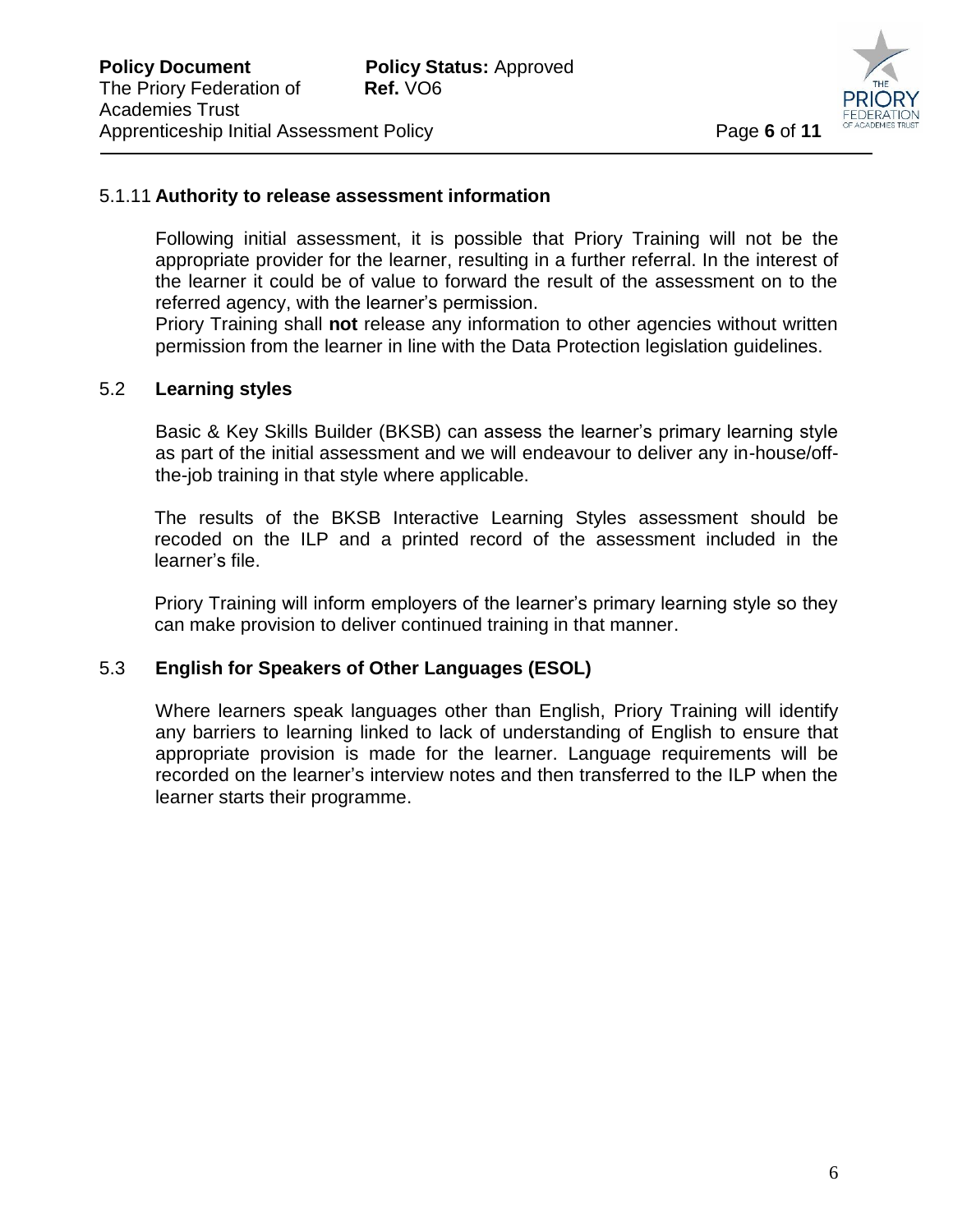

## 5.1.11 **Authority to release assessment information**

Following initial assessment, it is possible that Priory Training will not be the appropriate provider for the learner, resulting in a further referral. In the interest of the learner it could be of value to forward the result of the assessment on to the referred agency, with the learner's permission.

 $\overline{a}$ 

Priory Training shall **not** release any information to other agencies without written permission from the learner in line with the Data Protection legislation guidelines.

## 5.2 **Learning styles**

Basic & Key Skills Builder (BKSB) can assess the learner's primary learning style as part of the initial assessment and we will endeavour to deliver any in-house/offthe-job training in that style where applicable.

The results of the BKSB Interactive Learning Styles assessment should be recoded on the ILP and a printed record of the assessment included in the learner's file.

Priory Training will inform employers of the learner's primary learning style so they can make provision to deliver continued training in that manner.

## 5.3 **English for Speakers of Other Languages (ESOL)**

Where learners speak languages other than English, Priory Training will identify any barriers to learning linked to lack of understanding of English to ensure that appropriate provision is made for the learner. Language requirements will be recorded on the learner's interview notes and then transferred to the ILP when the learner starts their programme.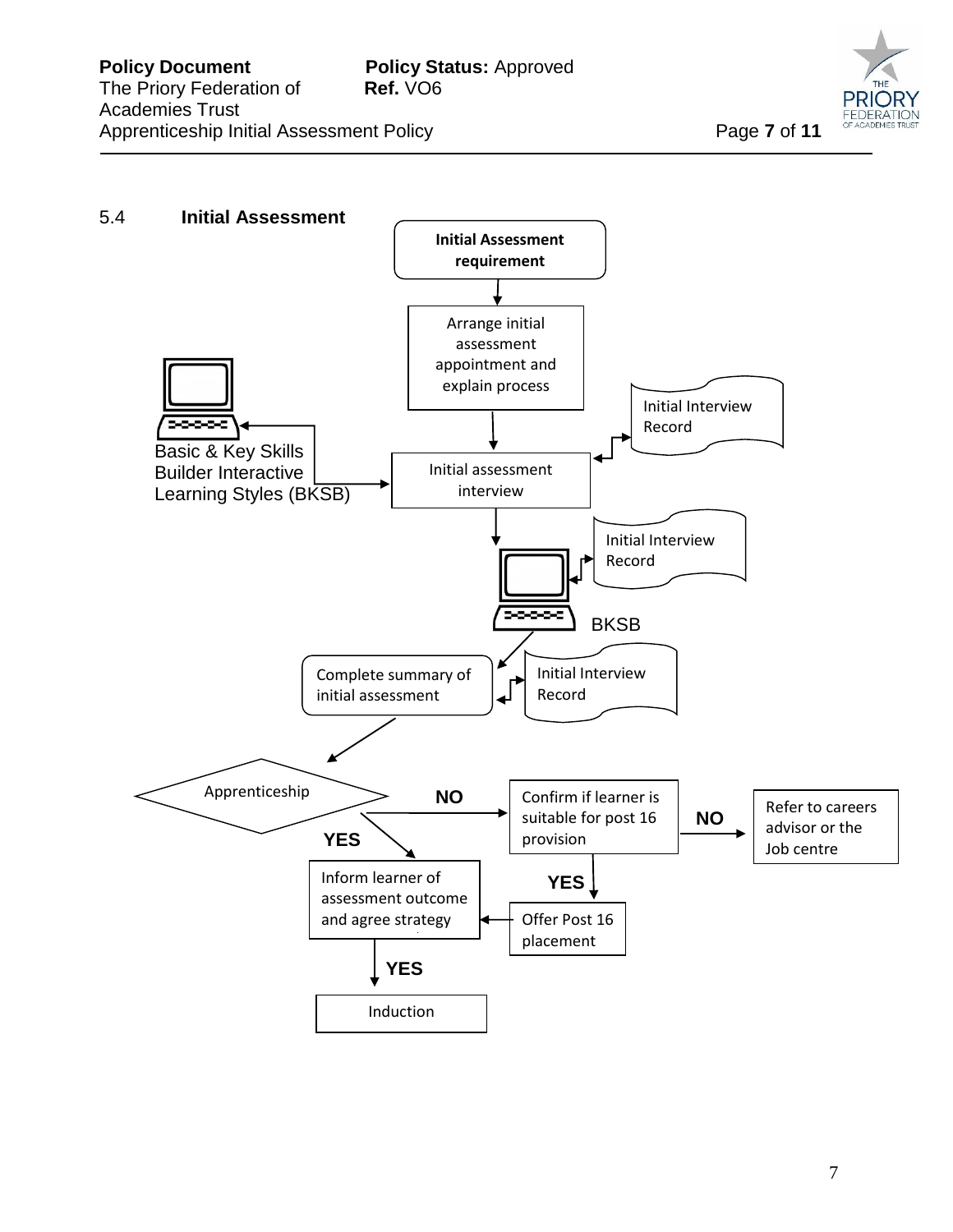

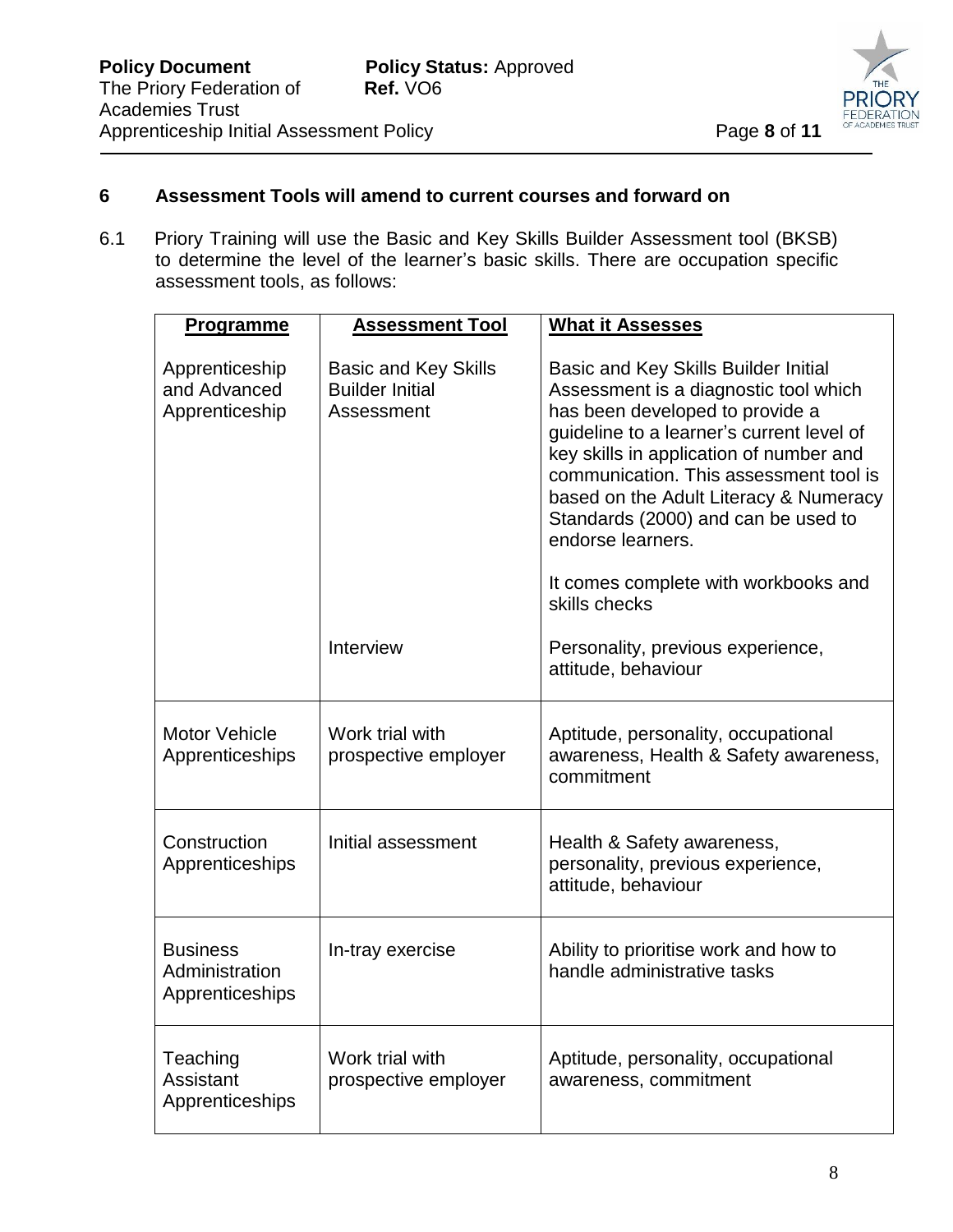

# **6 Assessment Tools will amend to current courses and forward on**

6.1 Priory Training will use the Basic and Key Skills Builder Assessment tool (BKSB) to determine the level of the learner's basic skills. There are occupation specific assessment tools, as follows:

 $\overline{a}$ 

| <b>Programme</b>                                     | <b>Assessment Tool</b>                                              | <b>What it Assesses</b>                                                                                                                                                                                                                                                                                                                                  |
|------------------------------------------------------|---------------------------------------------------------------------|----------------------------------------------------------------------------------------------------------------------------------------------------------------------------------------------------------------------------------------------------------------------------------------------------------------------------------------------------------|
| Apprenticeship<br>and Advanced<br>Apprenticeship     | <b>Basic and Key Skills</b><br><b>Builder Initial</b><br>Assessment | Basic and Key Skills Builder Initial<br>Assessment is a diagnostic tool which<br>has been developed to provide a<br>guideline to a learner's current level of<br>key skills in application of number and<br>communication. This assessment tool is<br>based on the Adult Literacy & Numeracy<br>Standards (2000) and can be used to<br>endorse learners. |
|                                                      |                                                                     | It comes complete with workbooks and<br>skills checks                                                                                                                                                                                                                                                                                                    |
|                                                      | Interview                                                           | Personality, previous experience,<br>attitude, behaviour                                                                                                                                                                                                                                                                                                 |
| <b>Motor Vehicle</b><br>Apprenticeships              | Work trial with<br>prospective employer                             | Aptitude, personality, occupational<br>awareness, Health & Safety awareness,<br>commitment                                                                                                                                                                                                                                                               |
| Construction<br>Apprenticeships                      | Initial assessment                                                  | Health & Safety awareness,<br>personality, previous experience,<br>attitude, behaviour                                                                                                                                                                                                                                                                   |
| <b>Business</b><br>Administration<br>Apprenticeships | In-tray exercise                                                    | Ability to prioritise work and how to<br>handle administrative tasks                                                                                                                                                                                                                                                                                     |
| Teaching<br>Assistant<br>Apprenticeships             | Work trial with<br>prospective employer                             | Aptitude, personality, occupational<br>awareness, commitment                                                                                                                                                                                                                                                                                             |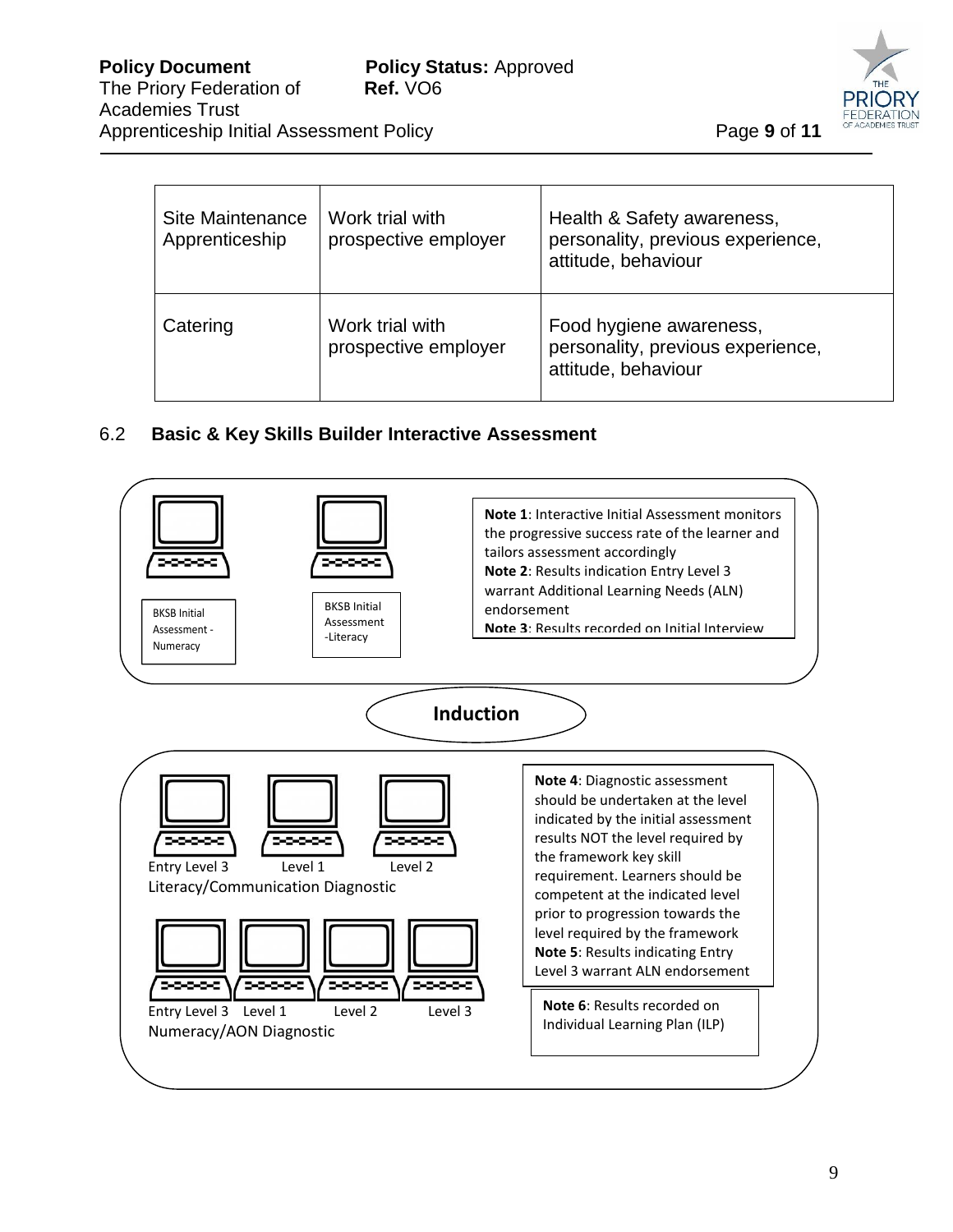

| Site Maintenance<br>Apprenticeship | Work trial with<br>prospective employer | Health & Safety awareness,<br>personality, previous experience,<br>attitude, behaviour |
|------------------------------------|-----------------------------------------|----------------------------------------------------------------------------------------|
| Catering                           | Work trial with<br>prospective employer | Food hygiene awareness,<br>personality, previous experience,<br>attitude, behaviour    |

 $\overline{a}$ 

# 6.2 **Basic & Key Skills Builder Interactive Assessment**

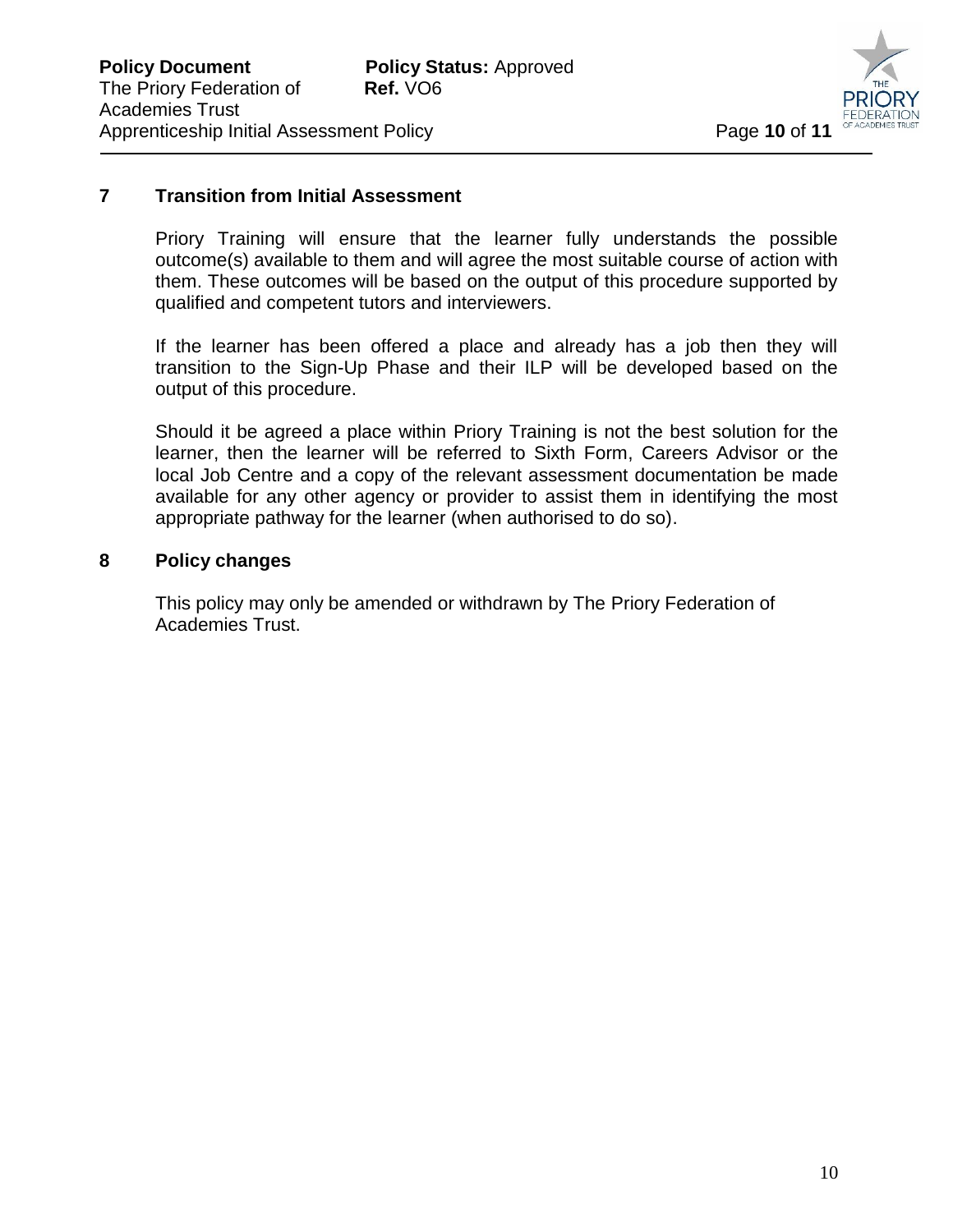

## **7 Transition from Initial Assessment**

Priory Training will ensure that the learner fully understands the possible outcome(s) available to them and will agree the most suitable course of action with them. These outcomes will be based on the output of this procedure supported by qualified and competent tutors and interviewers.

 $\overline{a}$ 

If the learner has been offered a place and already has a job then they will transition to the Sign-Up Phase and their ILP will be developed based on the output of this procedure.

Should it be agreed a place within Priory Training is not the best solution for the learner, then the learner will be referred to Sixth Form, Careers Advisor or the local Job Centre and a copy of the relevant assessment documentation be made available for any other agency or provider to assist them in identifying the most appropriate pathway for the learner (when authorised to do so).

## **8 Policy changes**

This policy may only be amended or withdrawn by The Priory Federation of Academies Trust.